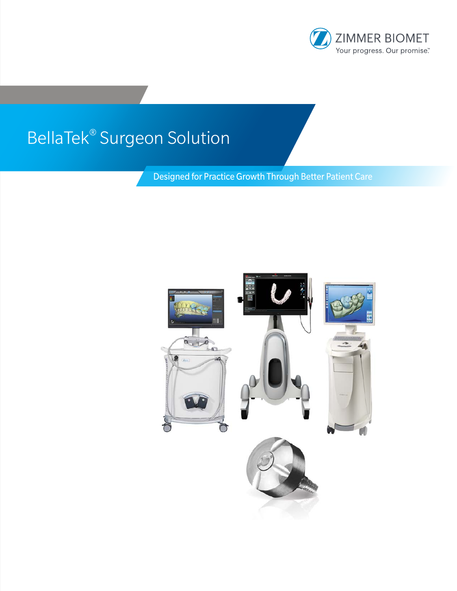

# BellaTek® Surgeon Solution

Designed for Practice Growth Through Better Patient Care

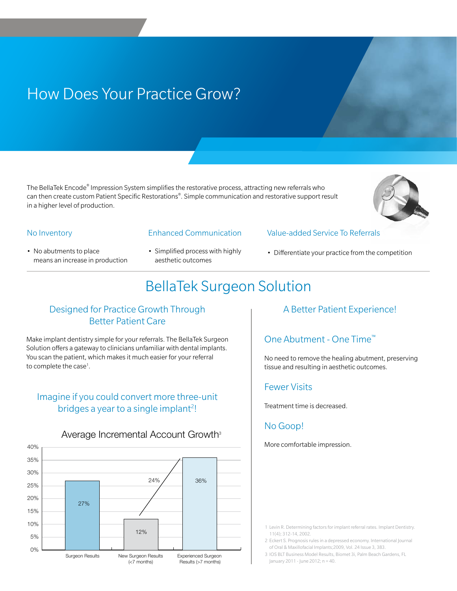# How Does Your Practice Grow?

The BellaTek Encode® Impression System simplifies the restorative process, attracting new referrals who can then create custom Patient Specific Restorations®. Simple communication and restorative support result in a higher level of production.



#### No Inventory

- No abutments to place means an increase in production
- Enhanced Communication
- Simplified process with highly aesthetic outcomes
- Value-added Service To Referrals
- 

## BellaTek Surgeon Solution

### Designed for Practice Growth Through Better Patient Care

Make implant dentistry simple for your referrals. The BellaTek Surgeon Solution offers a gateway to clinicians unfamiliar with dental implants. You scan the patient, which makes it much easier for your referral to complete the case<sup>1</sup>.

### Imagine if you could convert more three-unit bridges a year to a single implant<sup>2</sup>!

### Average Incremental Account Growth<sup>3</sup>



### A Better Patient Experience!

• Differentiate your practice from the competition

### One Abutment - One Time™

No need to remove the healing abutment, preserving tissue and resulting in aesthetic outcomes.

### Fewer Visits

Treatment time is decreased.

### No Goop!

More comfortable impression.

1 Levin R. Determining factors for implant referral rates. Implant Dentistry. 11(4); 312-14, 2002.

- 2 Eckert S. Prognosis rules in a depressed economy. International Journal of Oral & Maxillofacial Implants;2009, Vol. 24 Issue 3, 383.
- 3 IOS BLT Business Model Results, Biomet 3i, Palm Beach Gardens, FL January 2011 - June 2012; n = 40.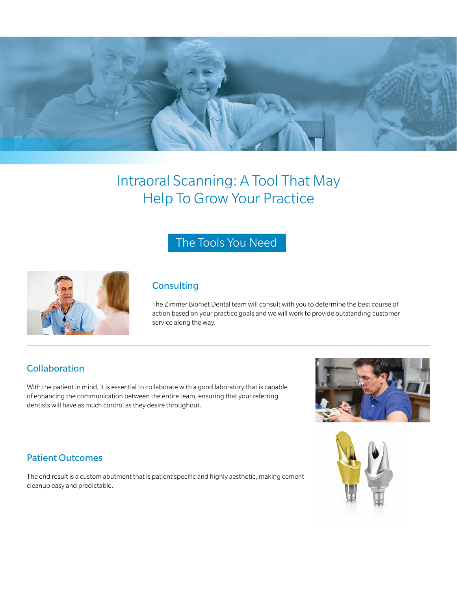

# Intraoral Scanning: A Tool That May Help To Grow Your Practice

### The Tools You Need



### **Consulting**

The Zimmer Biomet Dental team will consult with you to determine the best course of action based on your practice goals and we will work to provide outstanding customer service along the way.

### **Collaboration**

With the patient in mind, it is essential to collaborate with a good laboratory that is capable of enhancing the communication between the entire team, ensuring that your referring dentists will have as much control as they desire throughout.



### Patient Outcomes

The end result is a custom abutment that is patient specific and highly aesthetic, making cement cleanup easy and predictable.

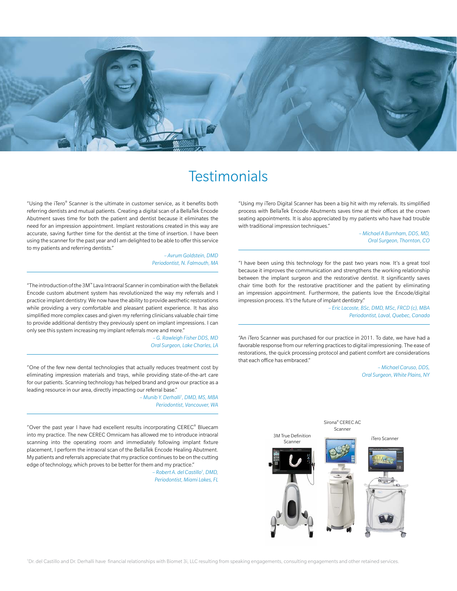

### **Testimonials**

"Using the iTero® Scanner is the ultimate in customer service, as it benefits both referring dentists and mutual patients. Creating a digital scan of a BellaTek Encode Abutment saves time for both the patient and dentist because it eliminates the need for an impression appointment. Implant restorations created in this way are accurate, saving further time for the dentist at the time of insertion. I have been using the scanner for the past year and I am delighted to be able to offer this service to my patients and referring dentists."

> *– Avrum Goldstein, DMD Periodontist, N. Falmouth, MA*

"The introduction of the 3M™ Lava Intraoral Scanner in combination with the Bellatek Encode custom abutment system has revolutionized the way my referrals and I practice implant dentistry. We now have the ability to provide aesthetic restorations while providing a very comfortable and pleasant patient experience. It has also simplified more complex cases and given my referring clinicians valuable chair time to provide additional dentistry they previously spent on implant impressions. I can only see this system increasing my implant referrals more and more."

> *– G. Rawleigh Fisher DDS, MD Oral Surgeon, Lake Charles, LA*

"One of the few new dental technologies that actually reduces treatment cost by eliminating impression materials and trays, while providing state-of-the-art care for our patients. Scanning technology has helped brand and grow our practice as a leading resource in our area, directly impacting our referral base."

> *– Munib Y. Derhalli† , DMD, MS, MBA Periodontist, Vancouver, WA*

"Over the past year I have had excellent results incorporating CEREC® Bluecam into my practice. The new CEREC Omnicam has allowed me to introduce intraoral scanning into the operating room and immediately following implant fixture placement, I perform the intraoral scan of the BellaTek Encode Healing Abutment. My patients and referrals appreciate that my practice continues to be on the cutting edge of technology, which proves to be better for them and my practice."

> *– Robert A. del Castillo† , DMD, Periodontist, Miami Lakes, FL*

"Using my iTero Digital Scanner has been a big hit with my referrals. Its simplified process with BellaTek Encode Abutments saves time at their offices at the crown seating appointments. It is also appreciated by my patients who have had trouble with traditional impression techniques."

> *– Michael A Burnham, DDS, MD, Oral Surgeon, Thornton, CO*

"I have been using this technology for the past two years now. It's a great tool because it improves the communication and strengthens the working relationship between the implant surgeon and the restorative dentist. It significantly saves chair time both for the restorative practitioner and the patient by eliminating an impression appointment. Furthermore, the patients love the Encode/digital impression process. It's the future of implant dentistry."

> *– Eric Lacoste, BSc, DMD, MSc, FRCD (c), MBA Periodontist, Laval, Quebec, Canada*

"An iTero Scanner was purchased for our practice in 2011. To date, we have had a favorable response from our referring practices to digital impressioning. The ease of restorations, the quick processing protocol and patient comfort are considerations that each office has embraced."

> *– Michael Caruso, DDS, Oral Surgeon, White Plains, NY*

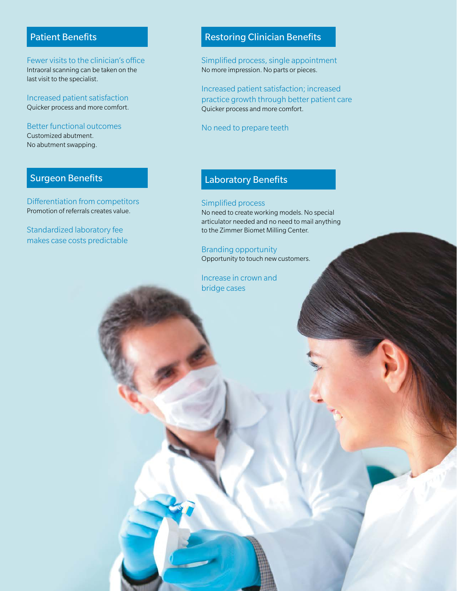### Patient Benefits

Fewer visits to the clinician's office Intraoral scanning can be taken on the last visit to the specialist.

Increased patient satisfaction Quicker process and more comfort.

Better functional outcomes Customized abutment. No abutment swapping.

### Surgeon Benefits

Differentiation from competitors Promotion of referrals creates value.

Standardized laboratory fee makes case costs predictable

### Restoring Clinician Benefits

Simplified process, single appointment No more impression. No parts or pieces.

Increased patient satisfaction; increased practice growth through better patient care Quicker process and more comfort.

No need to prepare teeth

### Laboratory Benefits

#### Simplified process

No need to create working models. No special articulator needed and no need to mail anything to the Zimmer Biomet Milling Center.

Branding opportunity Opportunity to touch new customers.

Increase in crown and bridge cases